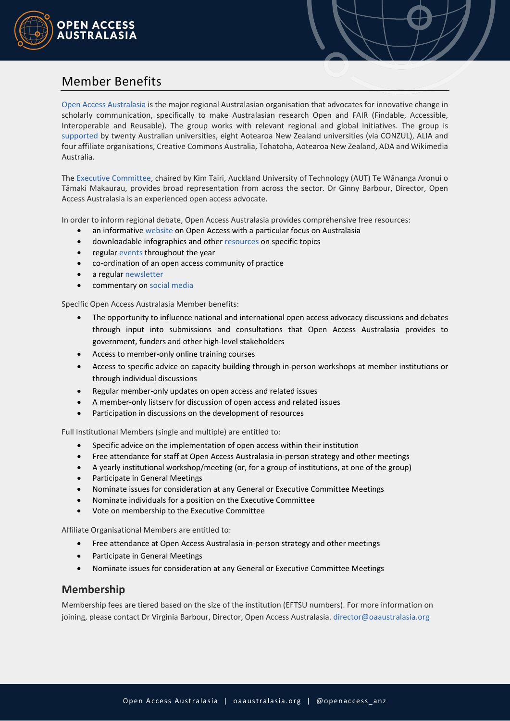

# Member Benefits

Open Access Australasia is the major regional Australasian organisation that advocates for innovative change in scholarly communication, specifically to make Australasian research Open and FAIR (Findable, Accessible, Interoperable and Reusable). The group works with relevant regional and global initiatives. The group is supported by twenty Australian universities, eight Aotearoa New Zealand universities (via CONZUL), ALIA and four affiliate organisations, Creative Commons Australia, Tohatoha, Aotearoa New Zealand, ADA and Wikimedia Australia.

The Executive Committee, chaired by Kim Tairi, Auckland University of Technology (AUT) Te Wānanga Aronui o Tāmaki Makaurau, provides broad representation from across the sector. Dr Ginny Barbour, Director, Open Access Australasia is an experienced open access advocate.

In order to inform regional debate, Open Access Australasia provides comprehensive free resources:

- an informative website on Open Access with a particular focus on Australasia
- downloadable infographics and other resources on specific topics
- regular events throughout the year
- co-ordination of an open access community of practice
- a regular newsletter
- commentary on social media

Specific Open Access Australasia Member benefits:

- The opportunity to influence national and international open access advocacy discussions and debates through input into submissions and consultations that Open Access Australasia provides to government, funders and other high-level stakeholders
- Access to member-only online training courses
- Access to specific advice on capacity building through in-person workshops at member institutions or through individual discussions
- Regular member-only updates on open access and related issues
- A member-only listserv for discussion of open access and related issues
- Participation in discussions on the development of resources

Full Institutional Members (single and multiple) are entitled to:

- Specific advice on the implementation of open access within their institution
- Free attendance for staff at Open Access Australasia in-person strategy and other meetings
- A yearly institutional workshop/meeting (or, for a group of institutions, at one of the group)
- Participate in General Meetings
- Nominate issues for consideration at any General or Executive Committee Meetings
- Nominate individuals for a position on the Executive Committee
- Vote on membership to the Executive Committee

Affiliate Organisational Members are entitled to:

- Free attendance at Open Access Australasia in-person strategy and other meetings
- Participate in General Meetings
- Nominate issues for consideration at any General or Executive Committee Meetings

# **Membership**

Membership fees are tiered based on the size of the institution (EFTSU numbers). For more information on joining, please contact Dr Virginia Barbour, Director, Open Access Australasia. director@oaaustralasia.org